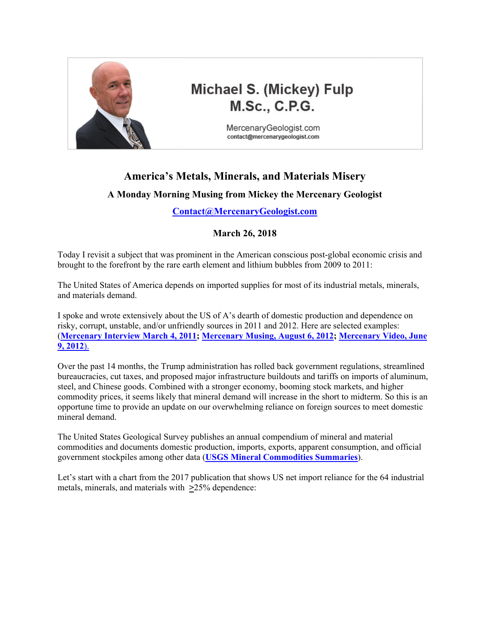

# **Michael S. (Mickey) Fulp M.Sc., C.P.G.**

MercenaryGeologist.com contact@mercenarygeologist.com

### **America's Metals, Minerals, and Materials Misery**

#### **A Monday Morning Musing from Mickey the Mercenary Geologist**

**[Contact@MercenaryGeologist.com](mailto:Contact@mercenarygeologist.com)**

#### **March 26, 2018**

Today I revisit a subject that was prominent in the American conscious post-global economic crisis and brought to the forefront by the rare earth element and lithium bubbles from 2009 to 2011:

The United States of America depends on imported supplies for most of its industrial metals, minerals, and materials demand.

I spoke and wrote extensively about the US of A's dearth of domestic production and dependence on risky, corrupt, unstable, and/or unfriendly sources in 2011 and 2012. Here are selected examples: (**[Mercenary Interview March 4, 2011;](http://www.goldgeologist.com/audio/RobertGraham/MercenaryRadio20110304.mp3) [Mercenary Musing, August 6, 2012](http://www.goldgeologist.com/mercenary_musings/musing-120806-What-Makes-a-Critical-Metal-Critical-or-a-Strategic-Element-Strategic.pdf); [Mercenary Video, June](http://www.youtube.com/watch?v=cimdDOvC-rA&feature=youtu.be)  [9, 2012](http://www.youtube.com/watch?v=cimdDOvC-rA&feature=youtu.be)**).

Over the past 14 months, the Trump administration has rolled back government regulations, streamlined bureaucracies, cut taxes, and proposed major infrastructure buildouts and tariffs on imports of aluminum, steel, and Chinese goods. Combined with a stronger economy, booming stock markets, and higher commodity prices, it seems likely that mineral demand will increase in the short to midterm. So this is an opportune time to provide an update on our overwhelming reliance on foreign sources to meet domestic mineral demand.

The United States Geological Survey publishes an annual compendium of mineral and material commodities and documents domestic production, imports, exports, apparent consumption, and official government stockpiles among other data (**[USGS Mineral Commodities Summaries](https://minerals.usgs.gov/minerals/pubs/mcs/)**).

Let's start with a chart from the 2017 publication that shows US net import reliance for the 64 industrial metals, minerals, and materials with **>**25% dependence: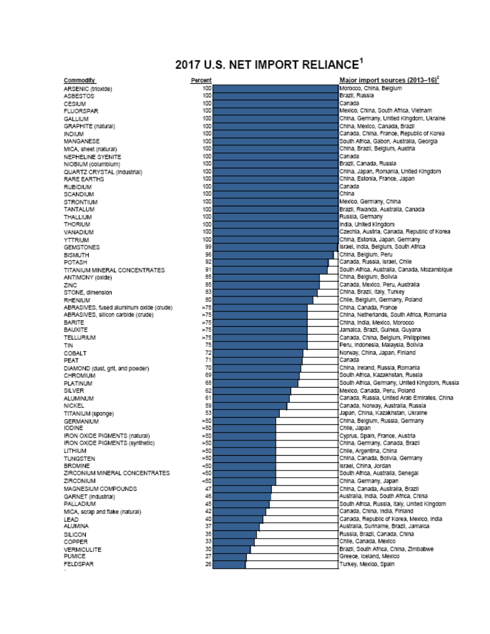## 2017 U.S. NET IMPORT RELIANCE<sup>1</sup>

Commodity ARSENIC (trioxide) ASBESTOS CESIUM **FLUORSPAR** GALLIUM GRAPHITE (natural) **INDIUM** MANGANESE MICA, sheet (natural) NEPHELINE SYENITE NIOBIUM (columbium) QUARTZ CRYSTAL (Industrial) RARE EARTHS **RUBIDIUM** SCANDIUM **STRONTIUM** TANTALUM THALLIUM THORIUM VANADIUM YTTRIUM GEMSTONES **BISMUTH** POTASH TITANIUM MINERAL CONCENTRATES ANTIMONY (oxide) ZINC STONE, dimension RHENIUM ABRASIVES, fused aluminum oxide (crude) ABRASIVES, silicon carbide (crude) **BARITE BAUXITE** TELLURIUM TIN COBALT PEAT DIAMOND (dust, grit, and powder) CHROMIUM PLATINUM SILVER ALUMINUM NICKEL TITANIUM (sponge) **GERMANIUM IODINE** IRON OXIDE PIGMENTS (natural) IRON OXIDE PIGMENTS (synthetic) LITHIUM TUNGSTEN **BROMINE** ZIRCONIUM MINERAL CONCENTRATES ZIRCONIUM MAGNESIUM COMPOUNDS GARNET (Industrial) PALLADIUM MICA, scrap and flake (natural) LEAD **ALUMINA** SILICON COPPER VERMICULITE **PUMICE** FELDSPAR

| Percent     | Major import sources (2013–16) <sup>2</sup>   |
|-------------|-----------------------------------------------|
| 100         | Morocco, China, Belgium                       |
| 100         | Brazil, Russia                                |
| 100         | Canada                                        |
| 100         | Mexico, China, South Africa, Vietnam          |
| 100         | China, Germany, United Kingdom, Ukraine       |
| 100         | China, Mexico, Canada, Brazil                 |
| 100         | Canada, China, France, Republic of Korea      |
| 100         | South Africa, Gabon, Australia, Georgia       |
| 100         | China, Brazil, Belgium, Austria               |
| 100         | Canada                                        |
| 100         | Brazil, Canada, Russia                        |
| 100         | China, Japan, Romania, United Kingdom         |
| 100         | China, Estonia, France, Japan                 |
| 100         | Canada                                        |
| 100         | China                                         |
| 100         | Mexico, Germany, China                        |
| 100         | Brazil, Rwanda, Australia, Canada             |
| 100         | Russia, Germany                               |
| 100         | India, United Kingdom                         |
| 100         | Czechla, Austria, Canada, Republic of Korea   |
| 100         | China, Estonia, Japan, Germany                |
| 99          | Israel, India, Belgium, South Africa          |
| 96          | China, Belgium, Peru                          |
| 92          | Canada, Russia, Israel, Chile                 |
| 91          | South Africa, Australia, Canada, Mozambique   |
| 85          | China, Belgium, Bolivia                       |
| 85          | Canada, Mexico, Peru, Australia               |
| 83          | China, Brazil, Italy, Turkey                  |
| 80          | Chile, Belgium, Germany, Poland               |
| $*75$       | China, Canada, France                         |
| $*75$       | China, Netherlands, South Africa, Romania     |
| $*75$       | China, India, Mexico, Morocco                 |
| $\times 75$ | Jamalca, Brazil, Guinea, Guyana               |
| $*75$       | Canada, China, Belgium, Philippines           |
| 75          | Peru, Indonesia, Malaysia, Bolivia            |
| 72          | Norway, China, Japan, Finland                 |
| 71          | Canada                                        |
| 70          | China. Ireland, Russia, Romania               |
| 69          | South Africa, Kazakhstan, Russia              |
| 68          | South Africa, Germany, United Kingdom, Russia |
| 62          | Mexico, Canada, Peru, Poland                  |
| 61          | Canada, Russia, United Arab Emirates, China   |
| 59          | Canada, Norway, Australia, Russia.            |
| 53          | Japan, China, Kazakhstan, Ukraine             |
| -50         | China, Belgium, Russia, Germany               |
| >50         | Chile, Japan                                  |
| $*50$       | Cyprus, Spain, France, Austria                |
| $*50$       | China, Germany, Canada, Brazil                |
| $*50$       | Chlie, Argentina, China                       |
| $*50$       | China, Canada, Bolivia, Germany               |
| $-50$       | Israel, China, Jordan                         |
| $=50$       | South Africa, Australia, Senegal              |
| $-50$       | China, Germany, Japan                         |
| 47          | China, Canada, Australia, Brazil              |
| 46          | Australia, India, South Africa, China         |
| 45          | South Africa, Russia, Italy, United Kingdom   |
| 42          | Canada, China, India, Finland                 |
| 40          | Canada, Republic of Korea, Mexico, India      |
| 37          | Australia, Suriname, Brazil, Jamaica          |
| 35          | Russia, Brazil, Canada, China                 |
| 33          | Chile, Canada, Mexico                         |
| 30          | Brazil, South Africa, China, Zimbabwe         |
| 27          | Greece, Iceland, Mexico                       |
| 26          | Turkey, Mexico, Spain                         |
|             |                                               |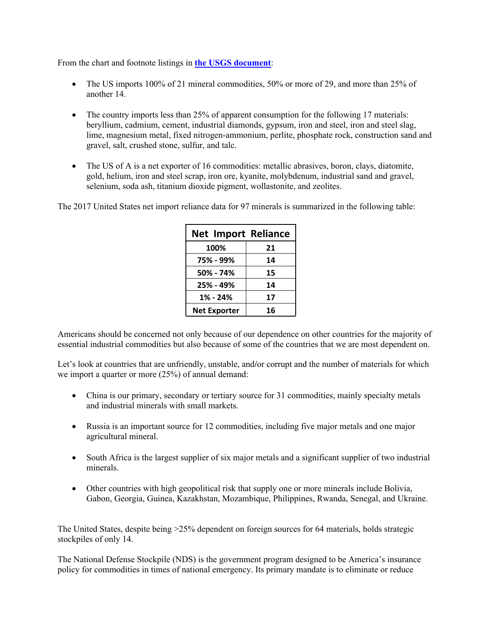From the chart and footnote listings in **[the USGS document](https://minerals.usgs.gov/minerals/pubs/mcs/2018/mcs2018.pdf)**:

- The US imports 100% of 21 mineral commodities, 50% or more of 29, and more than 25% of another 14.
- The country imports less than 25% of apparent consumption for the following 17 materials: beryllium, cadmium, cement, industrial diamonds, gypsum, iron and steel, iron and steel slag, lime, magnesium metal, fixed nitrogen-ammonium, perlite, phosphate rock, construction sand and gravel, salt, crushed stone, sulfur, and talc.
- The US of A is a net exporter of 16 commodities: metallic abrasives, boron, clays, diatomite, gold, helium, iron and steel scrap, iron ore, kyanite, molybdenum, industrial sand and gravel, selenium, soda ash, titanium dioxide pigment, wollastonite, and zeolites.

The 2017 United States net import reliance data for 97 minerals is summarized in the following table:

| <b>Net Import Reliance</b> |    |  |  |  |  |  |  |
|----------------------------|----|--|--|--|--|--|--|
| 100%                       | 21 |  |  |  |  |  |  |
| 75% - 99%                  | 14 |  |  |  |  |  |  |
| 50% - 74%                  | 15 |  |  |  |  |  |  |
| 25% - 49%                  | 14 |  |  |  |  |  |  |
| 1% - 24%                   | 17 |  |  |  |  |  |  |
| <b>Net Exporter</b>        | 16 |  |  |  |  |  |  |

Americans should be concerned not only because of our dependence on other countries for the majority of essential industrial commodities but also because of some of the countries that we are most dependent on.

Let's look at countries that are unfriendly, unstable, and**/**or corrupt and the number of materials for which we import a quarter or more (25%) of annual demand:

- China is our primary, secondary or tertiary source for 31 commodities, mainly specialty metals and industrial minerals with small markets.
- Russia is an important source for 12 commodities, including five major metals and one major agricultural mineral.
- South Africa is the largest supplier of six major metals and a significant supplier of two industrial minerals.
- Other countries with high geopolitical risk that supply one or more minerals include Bolivia, Gabon, Georgia, Guinea, Kazakhstan, Mozambique, Philippines, Rwanda, Senegal, and Ukraine.

The United States, despite being >25% dependent on foreign sources for 64 materials, holds strategic stockpiles of only 14.

The National Defense Stockpile (NDS) is the government program designed to be America's insurance policy for commodities in times of national emergency. Its primary mandate is to eliminate or reduce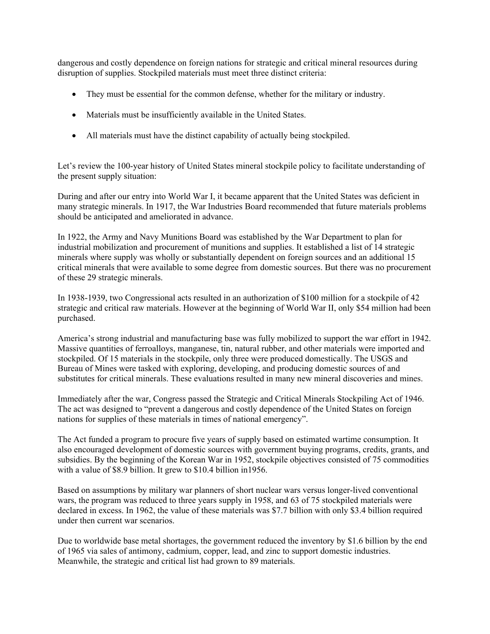dangerous and costly dependence on foreign nations for strategic and critical mineral resources during disruption of supplies. Stockpiled materials must meet three distinct criteria:

- They must be essential for the common defense, whether for the military or industry.
- Materials must be insufficiently available in the United States.
- All materials must have the distinct capability of actually being stockpiled.

Let's review the 100-year history of United States mineral stockpile policy to facilitate understanding of the present supply situation:

During and after our entry into World War I, it became apparent that the United States was deficient in many strategic minerals. In 1917, the War Industries Board recommended that future materials problems should be anticipated and ameliorated in advance.

In 1922, the Army and Navy Munitions Board was established by the War Department to plan for industrial mobilization and procurement of munitions and supplies. It established a list of 14 strategic minerals where supply was wholly or substantially dependent on foreign sources and an additional 15 critical minerals that were available to some degree from domestic sources. But there was no procurement of these 29 strategic minerals.

In 1938-1939, two Congressional acts resulted in an authorization of \$100 million for a stockpile of 42 strategic and critical raw materials. However at the beginning of World War II, only \$54 million had been purchased.

America's strong industrial and manufacturing base was fully mobilized to support the war effort in 1942. Massive quantities of ferroalloys, manganese, tin, natural rubber, and other materials were imported and stockpiled. Of 15 materials in the stockpile, only three were produced domestically. The USGS and Bureau of Mines were tasked with exploring, developing, and producing domestic sources of and substitutes for critical minerals. These evaluations resulted in many new mineral discoveries and mines.

Immediately after the war, Congress passed the Strategic and Critical Minerals Stockpiling Act of 1946. The act was designed to "prevent a dangerous and costly dependence of the United States on foreign nations for supplies of these materials in times of national emergency".

The Act funded a program to procure five years of supply based on estimated wartime consumption. It also encouraged development of domestic sources with government buying programs, credits, grants, and subsidies. By the beginning of the Korean War in 1952, stockpile objectives consisted of 75 commodities with a value of \$8.9 billion. It grew to \$10.4 billion in1956.

Based on assumptions by military war planners of short nuclear wars versus longer-lived conventional wars, the program was reduced to three years supply in 1958, and 63 of 75 stockpiled materials were declared in excess. In 1962, the value of these materials was \$7.7 billion with only \$3.4 billion required under then current war scenarios.

Due to worldwide base metal shortages, the government reduced the inventory by \$1.6 billion by the end of 1965 via sales of antimony, cadmium, copper, lead, and zinc to support domestic industries. Meanwhile, the strategic and critical list had grown to 89 materials.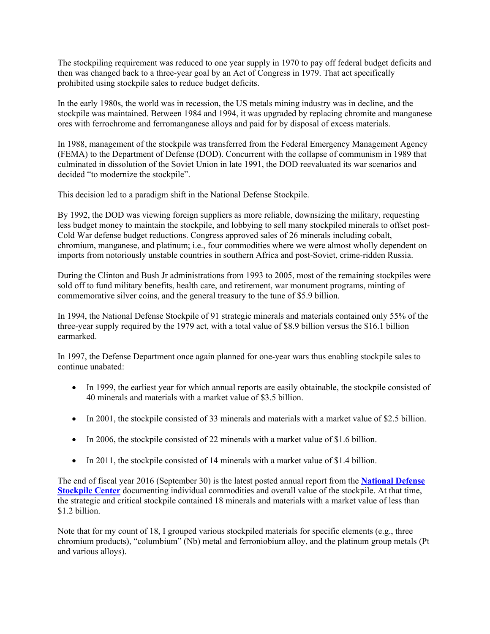The stockpiling requirement was reduced to one year supply in 1970 to pay off federal budget deficits and then was changed back to a three-year goal by an Act of Congress in 1979. That act specifically prohibited using stockpile sales to reduce budget deficits.

In the early 1980s, the world was in recession, the US metals mining industry was in decline, and the stockpile was maintained. Between 1984 and 1994, it was upgraded by replacing chromite and manganese ores with ferrochrome and ferromanganese alloys and paid for by disposal of excess materials.

In 1988, management of the stockpile was transferred from the Federal Emergency Management Agency (FEMA) to the Department of Defense (DOD). Concurrent with the collapse of communism in 1989 that culminated in dissolution of the Soviet Union in late 1991, the DOD reevaluated its war scenarios and decided "to modernize the stockpile".

This decision led to a paradigm shift in the National Defense Stockpile.

By 1992, the DOD was viewing foreign suppliers as more reliable, downsizing the military, requesting less budget money to maintain the stockpile, and lobbying to sell many stockpiled minerals to offset post-Cold War defense budget reductions. Congress approved sales of 26 minerals including cobalt, chromium, manganese, and platinum; i.e., four commodities where we were almost wholly dependent on imports from notoriously unstable countries in southern Africa and post-Soviet, crime-ridden Russia.

During the Clinton and Bush Jr administrations from 1993 to 2005, most of the remaining stockpiles were sold off to fund military benefits, health care, and retirement, war monument programs, minting of commemorative silver coins, and the general treasury to the tune of \$5.9 billion.

In 1994, the National Defense Stockpile of 91 strategic minerals and materials contained only 55% of the three-year supply required by the 1979 act, with a total value of \$8.9 billion versus the \$16.1 billion earmarked.

In 1997, the Defense Department once again planned for one-year wars thus enabling stockpile sales to continue unabated:

- In 1999, the earliest year for which annual reports are easily obtainable, the stockpile consisted of 40 minerals and materials with a market value of \$3.5 billion.
- In 2001, the stockpile consisted of 33 minerals and materials with a market value of \$2.5 billion.
- In 2006, the stockpile consisted of 22 minerals with a market value of \$1.6 billion.
- In 2011, the stockpile consisted of 14 minerals with a market value of \$1.4 billion.

The end of fiscal year 2016 (September 30) is the latest posted annual report from the **[National Defense](http://www.dla.mil/HQ/Acquisition/StrategicMaterials/Reports.aspx)  [Stockpile Center](http://www.dla.mil/HQ/Acquisition/StrategicMaterials/Reports.aspx)** documenting individual commodities and overall value of the stockpile. At that time, the strategic and critical stockpile contained 18 minerals and materials with a market value of less than \$1.2 billion.

Note that for my count of 18, I grouped various stockpiled materials for specific elements (e.g., three chromium products), "columbium" (Nb) metal and ferroniobium alloy, and the platinum group metals (Pt and various alloys).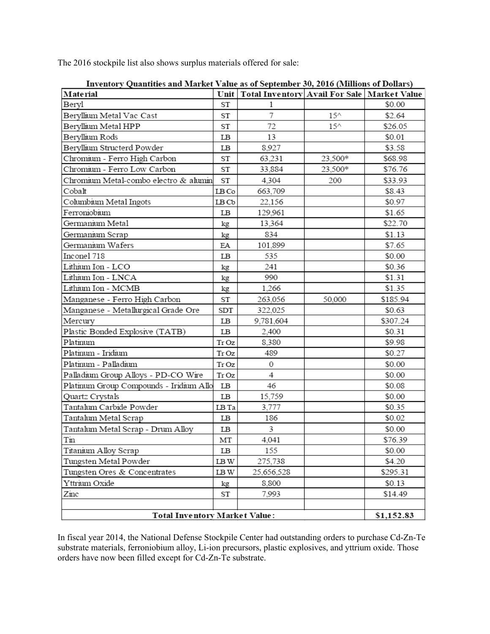The 2016 stockpile list also shows surplus materials offered for sale:

| Thventory Quantities and Market value as of september 50, 2010 (Millions of Donars) |                                         |                                             |               |          |  |
|-------------------------------------------------------------------------------------|-----------------------------------------|---------------------------------------------|---------------|----------|--|
| <b>Material</b>                                                                     | Unit                                    | Total Inventory Avail For Sale Market Value |               |          |  |
| Beryl                                                                               |                                         | 1                                           |               | \$0.00   |  |
| Beryllium Metal Vac Cast                                                            |                                         | 7                                           | $15^{\wedge}$ | \$2.64   |  |
| Beryllium Metal HPP                                                                 |                                         | 72                                          | $15^{\wedge}$ | \$26.05  |  |
| Beryllium Rods                                                                      |                                         | 13                                          |               | \$0.01   |  |
| Beryllium Structerd Powder                                                          |                                         | 8,927                                       |               | \$3.58   |  |
| Chromium - Ferro High Carbon                                                        |                                         | 63,231                                      | 23,500*       | \$68.98  |  |
| Chromium - Ferro Low Carbon                                                         |                                         | 33,884                                      | 23,500*       | \$76.76  |  |
| Chromium Metal-combo electro & alumin                                               | ST                                      | 4,304                                       | 200           | \$33.93  |  |
| Cobalt<br>LB Co                                                                     |                                         | 663,709                                     |               | \$8.43   |  |
| Columbium Metal Ingots                                                              | LB Cb                                   | 22,156                                      |               | \$0.97   |  |
| Ferroniobium                                                                        | LB                                      | 129,961                                     |               | \$1.65   |  |
| Germanium Metal                                                                     | kg                                      | 13,364                                      |               | \$22.70  |  |
| Germanium Scrap                                                                     | kg                                      | 834                                         |               | \$1.13   |  |
| Germanium Wafers                                                                    | ΕA                                      | 101,899                                     |               | \$7.65   |  |
| Inconel 718                                                                         | LB                                      | 535                                         |               | \$0.00   |  |
| Lithium Ion - LCO                                                                   | kg                                      | 241                                         |               | \$0.36   |  |
| Lithium Ion - LNCA                                                                  | kg                                      | 990                                         |               | \$1.31   |  |
| Lithium Ion - MCMB                                                                  |                                         | 1,266                                       |               | \$1.35   |  |
| Manganese - Ferro High Carbon                                                       | ST                                      | 263,056                                     | 50,000        | \$185.94 |  |
| Manganese - Metallurgical Grade Ore                                                 |                                         | 322,025                                     |               | \$0.63   |  |
| Mercury                                                                             | LB                                      | 9,781,604                                   |               | \$307.24 |  |
| Plastic Bonded Explosive (TATB)                                                     | LB                                      | 2,400                                       |               | \$0.31   |  |
| Platinum                                                                            | Tr Oz                                   | 8,380                                       |               | \$9.98   |  |
| Platinum - Iridium                                                                  | Tr <sub>Oz</sub>                        | 489                                         |               | \$0.27   |  |
| Platinum - Palladium                                                                | Tr Oz                                   | 0                                           |               | \$0.00   |  |
| Palladium Group Alloys - PD-CO Wire                                                 | Tr Oz                                   | 4                                           |               | \$0.00   |  |
| Platinum Group Compounds - Iridium Allo                                             | LВ                                      | 46                                          |               | \$0.08   |  |
| Quartz Crystals                                                                     | LB                                      | 15,759                                      |               | \$0.00   |  |
| Tantalum Carbide Powder                                                             | LB Ta                                   | 3,777                                       |               | \$0.35   |  |
| Tantalum Metal Scrap                                                                | LB                                      | 186                                         |               | \$0.02   |  |
| Tantalum Metal Scrap - Drum Alloy                                                   | LB                                      | 3                                           |               | \$0.00   |  |
| Tin                                                                                 | MT                                      | 4.041                                       |               | \$76.39  |  |
| Titanium Alloy Scrap                                                                | LB                                      | 155                                         |               | \$0.00   |  |
| Tungsten Metal Powder                                                               | $\mathop{\rm LB}\nolimits{\mathcal{W}}$ | 275,738                                     |               | \$4.20   |  |
| Tungsten Ores & Concentrates                                                        | LB W                                    | 25,656,528                                  |               | \$295.31 |  |
| Yttrium Oxide                                                                       | kg                                      | 8,800                                       |               | \$0.13   |  |
| Zinc                                                                                | ST                                      | 7.993                                       |               | \$14.49  |  |
|                                                                                     |                                         |                                             |               |          |  |
| Total Inventory Market Value:                                                       | \$1,152.83                              |                                             |               |          |  |

Inventory Quantities and Market Value as of Sentember 30, 2016 (Millions of Dollars)

In fiscal year 2014, the National Defense Stockpile Center had outstanding orders to purchase Cd-Zn-Te substrate materials, ferroniobium alloy, Li-ion precursors, plastic explosives, and yttrium oxide. Those orders have now been filled except for Cd-Zn-Te substrate.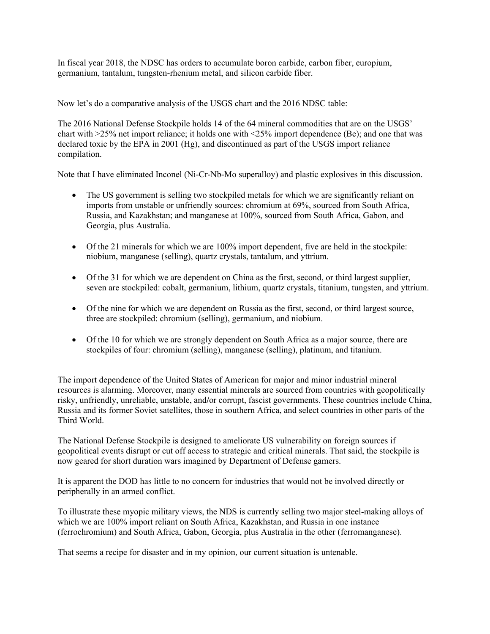In fiscal year 2018, the NDSC has orders to accumulate boron carbide, carbon fiber, europium, germanium, tantalum, tungsten-rhenium metal, and silicon carbide fiber.

Now let's do a comparative analysis of the USGS chart and the 2016 NDSC table:

The 2016 National Defense Stockpile holds 14 of the 64 mineral commodities that are on the USGS' chart with >25% net import reliance; it holds one with <25% import dependence (Be); and one that was declared toxic by the EPA in 2001 (Hg), and discontinued as part of the USGS import reliance compilation.

Note that I have eliminated Inconel (Ni-Cr-Nb-Mo superalloy) and plastic explosives in this discussion.

- The US government is selling two stockpiled metals for which we are significantly reliant on imports from unstable or unfriendly sources: chromium at 69%, sourced from South Africa, Russia, and Kazakhstan; and manganese at 100%, sourced from South Africa, Gabon, and Georgia, plus Australia.
- Of the 21 minerals for which we are 100% import dependent, five are held in the stockpile: niobium, manganese (selling), quartz crystals, tantalum, and yttrium.
- Of the 31 for which we are dependent on China as the first, second, or third largest supplier, seven are stockpiled: cobalt, germanium, lithium, quartz crystals, titanium, tungsten, and yttrium.
- Of the nine for which we are dependent on Russia as the first, second, or third largest source, three are stockpiled: chromium (selling), germanium, and niobium.
- Of the 10 for which we are strongly dependent on South Africa as a major source, there are stockpiles of four: chromium (selling), manganese (selling), platinum, and titanium.

The import dependence of the United States of American for major and minor industrial mineral resources is alarming. Moreover, many essential minerals are sourced from countries with geopolitically risky, unfriendly, unreliable, unstable, and**/**or corrupt, fascist governments. These countries include China, Russia and its former Soviet satellites, those in southern Africa, and select countries in other parts of the Third World.

The National Defense Stockpile is designed to ameliorate US vulnerability on foreign sources if geopolitical events disrupt or cut off access to strategic and critical minerals. That said, the stockpile is now geared for short duration wars imagined by Department of Defense gamers.

It is apparent the DOD has little to no concern for industries that would not be involved directly or peripherally in an armed conflict.

To illustrate these myopic military views, the NDS is currently selling two major steel-making alloys of which we are 100% import reliant on South Africa, Kazakhstan, and Russia in one instance (ferrochromium) and South Africa, Gabon, Georgia, plus Australia in the other (ferromanganese).

That seems a recipe for disaster and in my opinion, our current situation is untenable.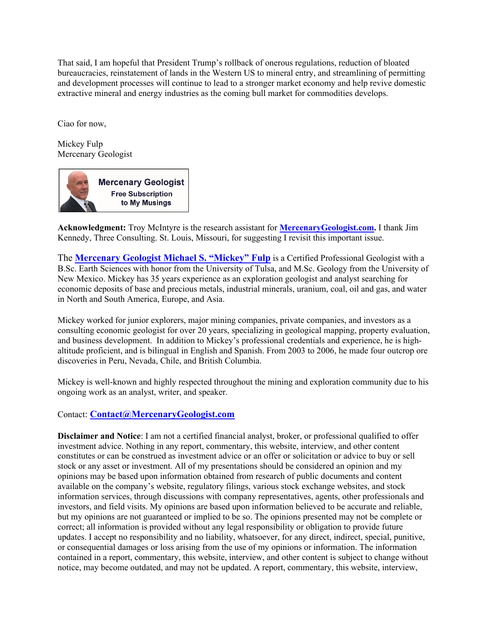That said, I am hopeful that President Trump's rollback of onerous regulations, reduction of bloated bureaucracies, reinstatement of lands in the Western US to mineral entry, and streamlining of permitting and development processes will continue to lead to a stronger market economy and help revive domestic extractive mineral and energy industries as the coming bull market for commodities develops.

Ciao for now,

Mickey Fulp Mercenary Geologist



**Acknowledgment:** Troy McIntyre is the research assistant for **[MercenaryGeologist.com.](http://mercenarygeologist.com/)** I thank Jim Kennedy, Three Consulting. St. Louis, Missouri, for suggesting I revisit this important issue.

The **[Mercenary Geologist Michael S. "Mickey" Fulp](http://www.mercenarygeologist.com/)** is a Certified Professional [Geologist](http://www.miningcompanyreport.com/index.htm) with a B.Sc. Earth Sciences with honor from the University of Tulsa, and M.Sc. Geology from the University of New Mexico. Mickey has 35 years experience as an exploration geologist and analyst searching for economic deposits of base and precious metals, industrial minerals, uranium, coal, oil and gas, and water in North and South America, Europe, and Asia.

Mickey worked for junior explorers, major mining companies, private companies, and investors as a consulting economic geologist for over 20 years, specializing in geological mapping, property evaluation, and business development. In addition to Mickey's professional credentials and experience, he is highaltitude proficient, and is bilingual in English and Spanish. From 2003 to 2006, he made four outcrop ore discoveries in Peru, Nevada, Chile, and British Columbia.

Mickey is well-known and highly respected throughout the mining and exploration community due to his ongoing work as an analyst, writer, and speaker.

#### Contact: **[Contact@MercenaryGeologist.com](mailto:Contact@mercenarygeologist.com)**

**Disclaimer and Notice**: I am not a certified financial analyst, broker, or professional qualified to offer investment advice. Nothing in any report, commentary, this website, interview, and other content constitutes or can be construed as investment advice or an offer or solicitation or advice to buy or sell stock or any asset or investment. All of my presentations should be considered an opinion and my opinions may be based upon information obtained from research of public documents and content available on the company's website, regulatory filings, various stock exchange websites, and stock information services, through discussions with company representatives, agents, other professionals and investors, and field visits. My opinions are based upon information believed to be accurate and reliable, but my opinions are not guaranteed or implied to be so. The opinions presented may not be complete or correct; all information is provided without any legal responsibility or obligation to provide future updates. I accept no responsibility and no liability, whatsoever, for any direct, indirect, special, punitive, or consequential damages or loss arising from the use of my opinions or information. The information contained in a report, commentary, this website, interview, and other content is subject to change without notice, may become outdated, and may not be updated. A report, commentary, this website, interview,